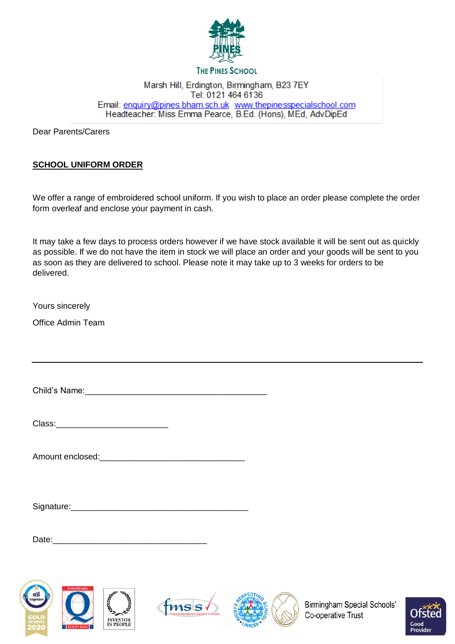

## **THE PINES SCHOOL**

## Marsh Hill, Erdington, Birmingham, B23 7EY Tel: 0121 464 6136 Email: enquiry@pines.bham.sch.uk www.thepinesspecialschool.com Headteacher: Miss Emma Pearce, B.Ed. (Hons), MEd, AdvDipEd

Dear Parents/Carers

# **SCHOOL UNIFORM ORDER**

We offer a range of embroidered school uniform. If you wish to place an order please complete the order form overleaf and enclose your payment in cash.

It may take a few days to process orders however if we have stock available it will be sent out as quickly as possible. If we do not have the item in stock we will place an order and your goods will be sent to you as soon as they are delivered to school. Please note it may take up to 3 weeks for orders to be delivered.

Yours sincerely

Office Admin Team

Child's Name:

| Class: |  |  |  |  |
|--------|--|--|--|--|
|        |  |  |  |  |

| Amount enclosed: |  |  |  |
|------------------|--|--|--|
|------------------|--|--|--|

Signature:\_\_\_\_\_\_\_\_\_\_\_\_\_\_\_\_\_\_\_\_\_\_\_\_\_\_\_\_\_\_\_\_\_\_\_\_\_\_

Date:\_\_\_\_\_\_\_\_\_\_\_\_\_\_\_\_\_\_\_\_\_\_\_\_\_\_\_\_\_\_\_\_\_